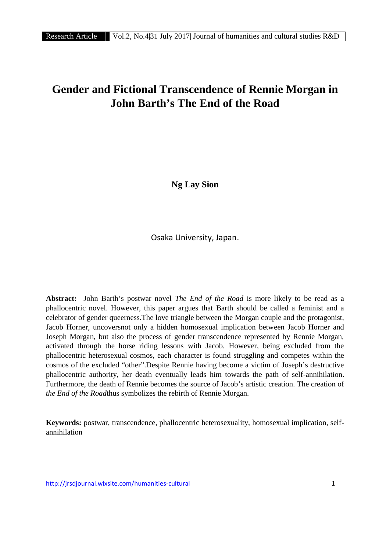# **GENER ATTIGE IF VOL.2, No.4 31 July 2017 Journal of humanities and cultural studies R&D**<br>**Gender and Fictional Transcendence of Rennie Morgan in**<br>**John Barth's The End of the Road John Barth's The End of the Road**

**Ng Lay Sion**

Osaka University, Japan.

**Abstract:** John Barth's postwar novel *The End of the Road* is more likely to be read as a phallocentric novel. However, this paper argues that Barth should be called a feminist and a celebrator of gender queerness.The love triangle between the Morgan couple and the protagonist, Jacob Horner, uncoversnot only a hidden homosexual implication between Jacob Horner and Joseph Morgan, but also the process of gender transcendence represented by Rennie Morgan, activated through the horse riding lessons with Jacob. However, being excluded from the phallocentric heterosexual cosmos, each character is found struggling and competes within the cosmos of the excluded "other".Despite Rennie having become a victim of Joseph's destructive phallocentric authority, her death eventually leads him towards the path of self-annihilation. Furthermore, the death of Rennie becomes the source of Jacob's artistic creation. The creation of *the End of the Road*thus symbolizes the rebirth of Rennie Morgan.

**Keywords:** postwar, transcendence, phallocentric heterosexuality, homosexual implication, self annihilation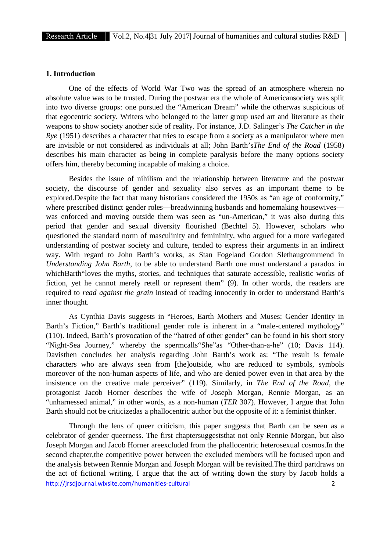## **1. Introduction**

One of the effects of World War Two was the spread of an atmosphere wherein no absolute value was to be trusted. During the postwar era the whole of Americansociety was split into two diverse groups: one pursued the "American Dream" while the otherwas suspicious of that egocentric society. Writers who belonged to the latter group used art and literature as their weapons to show society another side of reality. For instance, J.D. Salinger's *The Catcher in the Rye* (1951) describes a character that tries to escape from a society as a manipulator where men are invisible or not considered as individuals at all; John Barth's*The End of the Road* (1958) describes his main character as being in complete paralysis before the many options society offers him, thereby becoming incapable of making a choice.

Besides the issue of nihilism and the relationship between literature and the postwar society, the discourse of gender and sexuality also serves as an important theme to be explored.Despite the fact that many historians considered the 1950s as "an age of conformity," where prescribed distinct gender roles—breadwinning husbands and homemaking housewives was enforced and moving outside them was seen as "un-American," it was also during this period that gender and sexual diversity flourished (Bechtel 5). However, scholars who questioned the standard norm of masculinity and femininity, who argued for a more variegated understanding of postwar society and culture, tended to express their arguments in an indirect way. With regard to John Barth's works, as Stan Fogeland Gordon Slethaugcommend in *Understanding John Barth*, to be able to understand Barth one must understand a paradox in whichBarth"loves the myths, stories, and techniques that saturate accessible, realistic works of fiction, yet he cannot merely retell or represent them" (9). In other words, the readers are required to *read against the grain* instead of reading innocently in order to understand Barth's inner thought.

As Cynthia Davis suggests in "Heroes, Earth Mothers and Muses: Gender Identity in Barth's Fiction," Barth's traditional gender role is inherent in a "male-centered mythology" (110). Indeed, Barth's provocation of the "hatred of other gender" can be found in his short story "Night-Sea Journey," whereby the spermcalls"She"as "Other-than-a-he" (10; Davis 114). Davisthen concludes her analysis regarding John Barth's work as: "The result is female characters who are always seen from [the]outside, who are reduced to symbols, symbols moreover of the non-human aspects of life, and who are denied power even in that area by the insistence on the creative male perceiver" (119). Similarly, in *The End of the Road*, the protagonist Jacob Horner describes the wife of Joseph Morgan, Rennie Morgan, as an "unharnessed animal," in other words, as a non-human (*TER* 307). However, I argue that John Barth should not be criticizedas a phallocentric author but the opposite of it: a feminist thinker.

http://jrsdjournal.wixsite.com/humanities-cultural 2 Through the lens of queer criticism, this paper suggests that Barth can be seen as a celebrator of gender queerness. The first chaptersuggeststhat not only Rennie Morgan, but also Joseph Morgan and Jacob Horner areexcluded from the phallocentric heterosexual cosmos.In the second chapter,the competitive power between the excluded members will be focused upon and the analysis between Rennie Morgan and Joseph Morgan will be revisited.The third partdraws on the act of fictional writing, I argue that the act of writing down the story by Jacob holds a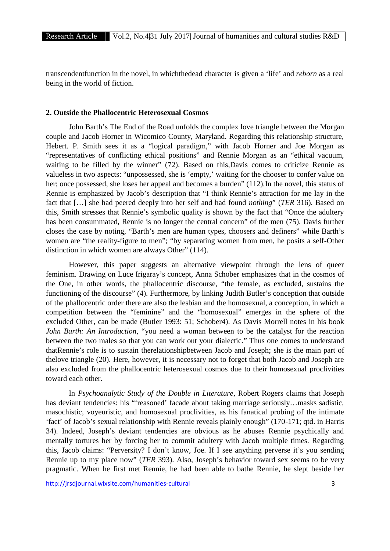transcendentfunction in the novel, in whichthedead character is given a 'life' and *reborn* as a real being in the world of fiction.

### **2. Outside the Phallocentric Heterosexual Cosmos**

John Barth's The End of the Road unfolds the complex love triangle between the Morgan couple and Jacob Horner in Wicomico County, Maryland. Regarding this relationship structure, Hebert. P. Smith sees it as a "logical paradigm," with Jacob Horner and Joe Morgan as "representatives of conflicting ethical positions" and Rennie Morgan as an "ethical vacuum, waiting to be filled by the winner" (72). Based on this,Davis comes to criticize Rennie as valueless in two aspects: "unpossessed, she is 'empty,' waiting for the chooser to confer value on her; once possessed, she loses her appeal and becomes a burden" (112).In the novel, this status of Rennie is emphasized by Jacob's description that "I think Rennie's attraction for me lay in the fact that […] she had peered deeply into her self and had found *nothing*" (*TER* 316). Based on this, Smith stresses that Rennie's symbolic quality is shown by the fact that "Once the adultery has been consummated, Rennie is no longer the central concern" of the men (75). Davis further closes the case by noting, "Barth's men are human types, choosers and definers" while Barth's women are "the reality-figure to men"; "by separating women from men, he posits a self-Other distinction in which women are always Other" (114).

However, this paper suggests an alternative viewpoint through the lens of queer feminism. Drawing on Luce Irigaray's concept, Anna Schober emphasizes that in the cosmos of the One, in other words, the phallocentric discourse, "the female, as excluded, sustains the functioning of the discourse" (4). Furthermore, by linking Judith Butler's conception that outside of the phallocentric order there are also the lesbian and the homosexual, a conception, in which a competition between the "feminine" and the "homosexual" emerges in the sphere of the excluded Other, can be made (Butler 1993: 51; Schober4). As Davis Morrell notes in his book *John Barth: An Introduction,* "you need a woman between to be the catalyst for the reaction between the two males so that you can work out your dialectic." Thus one comes to understand thatRennie's role is to sustain therelationshipbetween Jacob and Joseph; she is the main part of thelove triangle (20). Here, however, it is necessary not to forget that both Jacob and Joseph are also excluded from the phallocentric heterosexual cosmos due to their homosexual proclivities toward each other.

In *Psychoanalytic Study of the Double in Literature*, Robert Rogers claims that Joseph has deviant tendencies: his "'reasoned' facade about taking marriage seriously...masks sadistic, masochistic, voyeuristic, and homosexual proclivities, as his fanatical probing of the intimate 'fact' of Jacob's sexual relationship with Rennie reveals plainly enough" (170-171; qtd. in Harris 34). Indeed, Joseph's deviant tendencies are obvious as he abuses Rennie psychically and mentally tortures her by forcing her to commit adultery with Jacob multiple times. Regarding this, Jacob claims: "Perversity? I don't know, Joe. If I see anything perverse it's you sending Rennie up to my place now" (*TER* 393). Also, Joseph's behavior toward sex seems to be very pragmatic. When he first met Rennie, he had been able to bathe Rennie, he slept beside her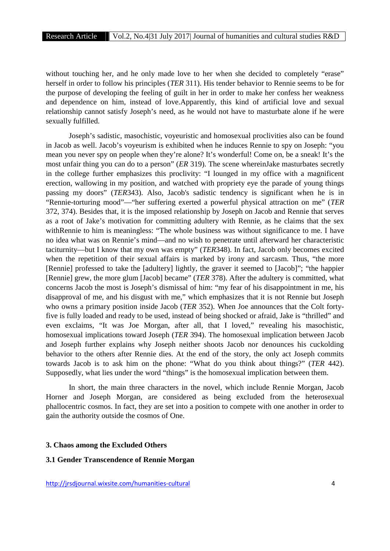without touching her, and he only made love to her when she decided to completely "erase" herself in order to follow his principles (*TER* 311). His tender behavior to Rennie seems to be for the purpose of developing the feeling of guilt in her in order to make her confess her weakness and dependence on him, instead of love.Apparently, this kind of artificial love and sexual relationship cannot satisfy Joseph's need, as he would not have to masturbate alone if he were sexually fulfilled.

Joseph's sadistic, masochistic, voyeuristic and homosexual proclivities also can be found in Jacob as well. Jacob's voyeurism is exhibited when he induces Rennie to spy on Joseph: "you mean you never spy on people when they're alone? It's wonderful! Come on, be a sneak! It's the most unfair thing you can do to a person" (*ER* 319). The scene whereinJake masturbates secretly in the college further emphasizes this proclivity: "I lounged in my office with a magnificent erection, wallowing in my position, and watched with propriety eye the parade of young things passing my doors" (*TER*343). Also, Jacob's sadistic tendency is significant when he is in "Rennie-torturing mood"—"her suffering exerted a powerful physical attraction on me" (*TER* 372, 374). Besides that, it is the imposed relationship by Joseph on Jacob and Rennie that serves as a root of Jake's motivation for committing adultery with Rennie, as he claims that the sex withRennie to him is meaningless: "The whole business was without significance to me. I have no idea what was on Rennie's mind—and no wish to penetrate until afterward her characteristic taciturnity—but I know that my own was empty" (*TER*348). In fact, Jacob only becomes excited when the repetition of their sexual affairs is marked by irony and sarcasm. Thus, "the more [Rennie] professed to take the [adultery] lightly, the graver it seemed to [Jacob]"; "the happier [Rennie] grew, the more glum [Jacob] became" (*TER* 378). After the adultery is committed, what concerns Jacob the most is Joseph's dismissal of him: "my fear of his disappointment in me, his disapproval of me, and his disgust with me," which emphasizes that it is not Rennie but Joseph who owns a primary position inside Jacob (*TER* 352). When Joe announces that the Colt fortyfive is fully loaded and ready to be used, instead of being shocked or afraid, Jake is "thrilled" and even exclaims, "It was Joe Morgan, after all, that I loved," revealing his masochistic, homosexual implications toward Joseph (*TER* 394). The homosexual implication between Jacob and Joseph further explains why Joseph neither shoots Jacob nor denounces his cuckolding behavior to the others after Rennie dies. At the end of the story, the only act Joseph commits towards Jacob is to ask him on the phone: "What do you think about things?" (*TER* 442). Supposedly, what lies under the word "things" is the homosexual implication between them.

In short, the main three characters in the novel, which include Rennie Morgan, Jacob Horner and Joseph Morgan, are considered as being excluded from the heterosexual phallocentric cosmos. In fact, they are set into a position to compete with one another in order to gain the authority outside the cosmos of One.

### **3. Chaos among the Excluded Others**

#### **3.1 Gender Transcendence of Rennie Morgan**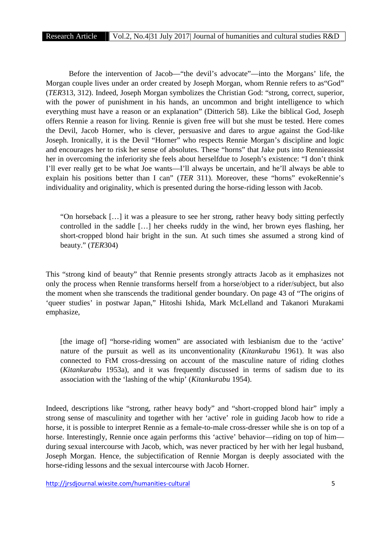Before the intervention of Jacob—"the devil's advocate"—into the Morgans' life, the Morgan couple lives under an order created by Joseph Morgan, whom Rennie refers to as"God" (*TER*313, 312). Indeed, Joseph Morgan symbolizes the Christian God: "strong, correct, superior, with the power of punishment in his hands, an uncommon and bright intelligence to which everything must have a reason or an explanation" (Ditterich 58). Like the biblical God, Joseph offers Rennie a reason for living. Rennie is given free will but she must be tested. Here comes the Devil, Jacob Horner, who is clever, persuasive and dares to argue against the God-like Joseph. Ironically, it is the Devil "Horner" who respects Rennie Morgan's discipline and logic and encourages her to risk her sense of absolutes. These "horns" that Jake puts into Rennieassist her in overcoming the inferiority she feels about herselfdue to Joseph's existence: "I don't think I'll ever really get to be what Joe wants—I'll always be uncertain, and he'll always be able to explain his positions better than I can" (*TER* 311). Moreover, these "horns" evokeRennie's individuality and originality, which is presented during the horse-riding lesson with Jacob.

"On horseback […] it was a pleasure to see her strong, rather heavy body sitting perfectly controlled in the saddle […] her cheeks ruddy in the wind, her brown eyes flashing, her short-cropped blond hair bright in the sun. At such times she assumed a strong kind of beauty." (*TER*304)

This "strong kind of beauty" that Rennie presents strongly attracts Jacob as it emphasizes not only the process when Rennie transforms herself from a horse/object to a rider/subject, but also the moment when she transcends the traditional gender boundary. On page 43 of "The origins of 'queer studies' in postwar Japan," Hitoshi Ishida, Mark McLelland and Takanori Murakami emphasize,

[the image of] "horse-riding women" are associated with lesbianism due to the 'active' nature of the pursuit as well as its unconventionality (*Kitankurabu* 1961). It was also connected to FtM cross-dressing on account of the masculine nature of riding clothes (*Kitankurabu* 1953a), and it was frequently discussed in terms of sadism due to its association with the 'lashing of the whip' (*Kitankurabu* 1954).

Indeed, descriptions like "strong, rather heavy body" and "short-cropped blond hair" imply a strong sense of masculinity and together with her 'active' role in guiding Jacob how to ride a horse, it is possible to interpret Rennie as a female-to-male cross-dresser while she is on top of a horse. Interestingly, Rennie once again performs this 'active' behavior—riding on top of him during sexual intercourse with Jacob, which, was never practiced by her with her legal husband, Joseph Morgan. Hence, the subjectification of Rennie Morgan is deeply associated with the horse-riding lessons and the sexual intercourse with Jacob Horner.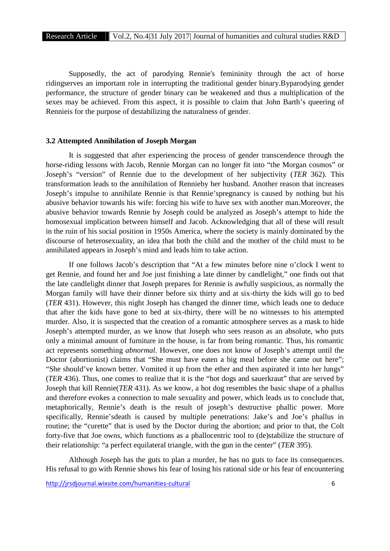Supposedly, the act of parodying Rennie's femininity through the act of horse ridingserves an important role in interrupting the traditional gender binary.Byparodying gender performance, the structure of gender binary can be weakened and thus a multiplication of the sexes may be achieved. From this aspect, it is possible to claim that John Barth's queering of Rennieis for the purpose of destabilizing the naturalness of gender.

# **3.2 Attempted Annihilation of Joseph Morgan**

It is suggested that after experiencing the process of gender transcendence through the horse-riding lessons with Jacob, Rennie Morgan can no longer fit into "the Morgan cosmos" or Joseph's "version" of Rennie due to the development of her subjectivity (*TER* 362). This transformation leads to the annihilation of Rennieby her husband. Another reason that increases Joseph's impulse to annihilate Rennie is that Rennie'spregnancy is caused by nothing but his abusive behavior towards his wife: forcing his wife to have sex with another man.Moreover, the abusive behavior towards Rennie by Joseph could be analyzed as Joseph's attempt to hide the homosexual implication between himself and Jacob. Acknowledging that all of these will result in the ruin of his social position in 1950s America, where the society is mainly dominated by the discourse of heterosexuality, an idea that both the child and the mother of the child must to be annihilated appears in Joseph's mind and leads him to take action.

If one follows Jacob's description that "At a few minutes before nine o'clock I went to get Rennie, and found her and Joe just finishing a late dinner by candlelight," one finds out that the late candlelight dinner that Joseph prepares for Rennie is awfully suspicious, as normally the Morgan family will have their dinner before six thirty and at six-thirty the kids will go to bed (*TER* 431). However, this night Joseph has changed the dinner time, which leads one to deduce that after the kids have gone to bed at six-thirty, there will be no witnesses to his attempted murder. Also, it is suspected that the creation of a romantic atmosphere serves as a mask to hide Joseph's attempted murder, as we know that Joseph who sees reason as an absolute, who puts only a minimal amount of furniture in the house, is far from being romantic. Thus, his romantic act represents something *abnormal*. However, one does not know of Joseph's attempt until the Doctor (abortionist) claims that "She must have eaten a big meal before she came out here"; "She should've known better. Vomited it up from the ether and then aspirated it into her lungs" (*TER* 436). Thus, one comes to realize that it is the "hot dogs and sauerkraut" that are served by Joseph that kill Rennie(*TER* 431). As we know, a hot dog resembles the basic shape of a phallus and therefore evokes a connection to male sexuality and power, which leads us to conclude that, metaphorically, Rennie's death is the result of joseph's destructive phallic power. More specifically, Rennie'sdeath is caused by multiple penetrations: Jake's and Joe's phallus in routine; the "curette" that is used by the Doctor during the abortion; and prior to that, the Colt forty-five that Joe owns, which functions as a phallocentric tool to (de)stabilize the structure of their relationship: "a perfect equilateral triangle, with the gun in the center" (*TER* 395).

Although Joseph has the guts to plan a murder, he has no guts to face its consequences. His refusal to go with Rennie shows his fear of losing his rational side or his fear of encountering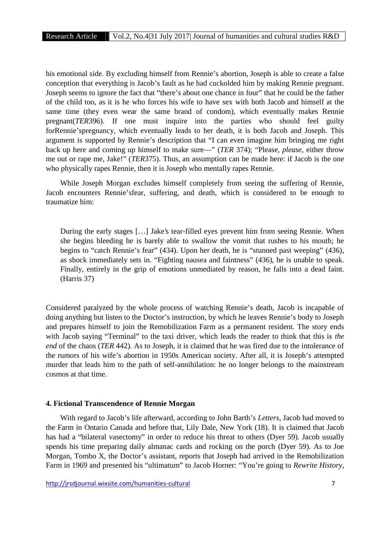his emotional side. By excluding himself from Rennie's abortion, Joseph is able to create a false conception that everything is Jacob's fault as he had cuckolded him by making Rennie pregnant. Joseph seems to ignore the fact that "there's about one chance in four" that he could be the father of the child too, as it is he who forces his wife to have sex with both Jacob and himself at the same time (they even wear the same brand of condom), which eventually makes Rennie pregnant(*TER*396). If one must inquire into the parties who should feel guilty forRennie'spregnancy, which eventually leads to her death, it is both Jacob and Joseph. This argument is supported by Rennie's description that "I can even imagine him bringing me right back up here and coming up himself to make sure—" (*TER* 374); "Please, *please*, either throw me out or rape me, Jake!" (*TER*375). Thus, an assumption can be made here: if Jacob is the one who physically rapes Rennie, then it is Joseph who mentally rapes Rennie.

While Joseph Morgan excludes himself completely from seeing the suffering of Rennie, Jacob encounters Rennie'sfear, suffering, and death, which is considered to be enough to traumatize him:

During the early stages […] Jake's tear-filled eyes prevent him from seeing Rennie. When she begins bleeding he is barely able to swallow the vomit that rushes to his mouth; he begins to "catch Rennie's fear" (434). Upon her death, he is "stunned past weeping" (436), as shock immediately sets in. "Fighting nausea and faintness" (436), he is unable to speak. Finally, entirely in the grip of emotions unmediated by reason, he falls into a dead faint. (Harris 37)

Considered paralyzed by the whole process of watching Rennie's death, Jacob is incapable of doing anything but listen to the Doctor's instruction, by which he leaves Rennie's body to Joseph and prepares himself to join the Remobilization Farm as a permanent resident. The story ends with Jacob saying "Terminal" to the taxi driver, which leads the reader to think that this is *the end* of the chaos (*TER* 442). As to Joseph, it is claimed that he was fired due to the intolerance of the rumors of his wife's abortion in 1950s American society. After all, it is Joseph's attempted murder that leads him to the path of self-annihilation: he no longer belongs to the mainstream cosmos at that time.

#### **4. Fictional Transcendence of Rennie Morgan**

With regard to Jacob's life afterward, according to John Barth's *Letters*, Jacob had moved to the Farm in Ontario Canada and before that, Lily Dale, New York (18). It is claimed that Jacob has had a "bilateral vasectomy" in order to reduce his threat to others (Dyer 59). Jacob usually spends his time preparing daily almanac cards and rocking on the porch (Dyer 59). As to Joe Morgan, Tombo X, the Doctor's assistant, reports that Joseph had arrived in the Remobilization Farm in 1969 and presented his "ultimatum" to Jacob Horner: "You're going to *Rewrite History*,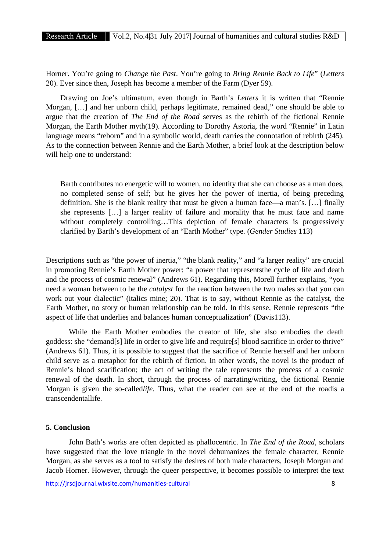Horner. You're going to *Change the Past*. You're going to *Bring Rennie Back to Life*" (*Letters* 20). Ever since then, Joseph has become a member of the Farm (Dyer 59).

Drawing on Joe's ultimatum, even though in Barth's *Letters* it is written that "Rennie Morgan, […] and her unborn child, perhaps legitimate, remained dead," one should be able to argue that the creation of *The End of the Road* serves as the rebirth of the fictional Rennie Morgan, the Earth Mother myth(19). According to Dorothy Astoria, the word "Rennie" in Latin language means "reborn" and in a symbolic world, death carries the connotation of rebirth (245). As to the connection between Rennie and the Earth Mother, a brief look at the description below will help one to understand:

Barth contributes no energetic will to women, no identity that she can choose as a man does, no completed sense of self; but he gives her the power of inertia, of being preceding definition. She is the blank reality that must be given a human face—a man's. […] finally she represents […] a larger reality of failure and morality that he must face and name without completely controlling...This depiction of female characters is progressively clarified by Barth's development of an "Earth Mother" type. (*Gender Studies* 113)

Descriptions such as "the power of inertia," "the blank reality," and "a larger reality" are crucial in promoting Rennie's Earth Mother power: "a power that representsthe cycle of life and death and the process of cosmic renewal" (Andrews 61). Regarding this, Morell further explains, "you need a woman between to be the *catalyst* for the reaction between the two males so that you can work out your dialectic" (italics mine; 20). That is to say, without Rennie as the catalyst, the Earth Mother, no story or human relationship can be told. In this sense, Rennie represents "the aspect of life that underlies and balances human conceptualization" (Davis113).

While the Earth Mother embodies the creator of life, she also embodies the death goddess: she "demand[s] life in order to give life and require[s] blood sacrifice in order to thrive" (Andrews 61). Thus, it is possible to suggest that the sacrifice of Rennie herself and her unborn child serve as a metaphor for the rebirth of fiction. In other words, the novel is the product of Rennie's blood scarification; the act of writing the tale represents the process of a cosmic renewal of the death. In short, through the process of narrating/writing, the fictional Rennie Morgan is given the so-called*life*. Thus, what the reader can see at the end of the roadis a transcendentallife.

## **5. Conclusion**

John Bath's works are often depicted as phallocentric. In *The End of the Road*, scholars have suggested that the love triangle in the novel dehumanizes the female character, Rennie Morgan, as she serves as a tool to satisfy the desires of both male characters, Joseph Morgan and Jacob Horner. However, through the queer perspective, it becomes possible to interpret the text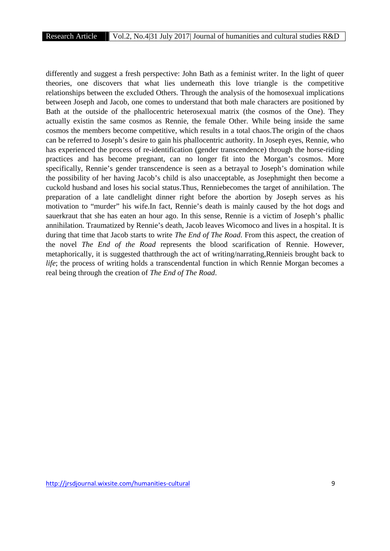differently and suggest a fresh perspective: John Bath as a feminist writer. In the light of queer theories, one discovers that what lies underneath this love triangle is the competitive relationships between the excluded Others. Through the analysis of the homosexual implications between Joseph and Jacob, one comes to understand that both male characters are positioned by Bath at the outside of the phallocentric heterosexual matrix (the cosmos of the One). They actually existin the same cosmos as Rennie, the female Other. While being inside the same cosmos the members become competitive, which results in a total chaos.The origin of the chaos can be referred to Joseph's desire to gain his phallocentric authority. In Joseph eyes, Rennie, who has experienced the process of re-identification (gender transcendence) through the horse-riding practices and has become pregnant, can no longer fit into the Morgan's cosmos. More specifically, Rennie's gender transcendence is seen as a betrayal to Joseph's domination while the possibility of her having Jacob's child is also unacceptable, as Josephmight then become a cuckold husband and loses his social status.Thus, Renniebecomes the target of annihilation. The preparation of a late candlelight dinner right before the abortion by Joseph serves as his motivation to "murder" his wife.In fact, Rennie's death is mainly caused by the hot dogs and sauerkraut that she has eaten an hour ago. In this sense, Rennie is a victim of Joseph's phallic annihilation. Traumatized by Rennie's death, Jacob leaves Wicomoco and lives in a hospital. It is during that time that Jacob starts to write *The End of The Road*. From this aspect, the creation of the novel *The End of the Road* represents the blood scarification of Rennie. However, metaphorically, it is suggested thatthrough the act of writing/narrating,Rennieis brought back to *life*; the process of writing holds a transcendental function in which Rennie Morgan becomes a real being through the creation of *The End of The Road*.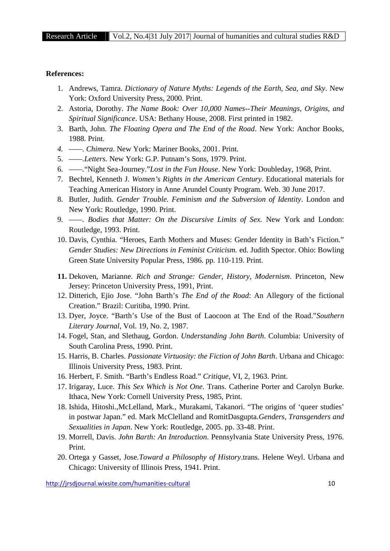#### **References:**

- 1. Andrews, Tamra. *Dictionary of Nature Myths: Legends of the Earth, Sea, and Sky*. New York: Oxford University Press, 2000. Print.
- 2. Astoria, Dorothy. *The Name Book: Over 10,000 Names--Their Meanings, Origins, and Spiritual Significance*. USA: Bethany House, 2008. First printed in 1982.
- 3. Barth, John. *The Floating Opera and The End of the Road*. New York: Anchor Books, 1988. Print.
- *4. ——. Chimera*. New York: Mariner Books, 2001. Print.
- 5. *——.Letters*. New York: G.P. Putnam's Sons, 1979. Print.
- 6. *——.*"Night Sea-Journey."*Lost in the Fun House*. New York: Doubleday, 1968, Print.
- 7. Bechtel, Kenneth J. *Women's Rights in the American Century*. Educational materials for Teaching American History in Anne Arundel County Program. Web. 30 June 2017.
- 8. Butler, Judith. *Gender Trouble. Feminism and the Subversion of Identity*. London and New York: Routledge, 1990. Print.
- 9. *——. Bodies that Matter: On the Discursive Limits of Sex.* New York and London: Routledge, 1993. Print.
- 10. Davis, Cynthia. "Heroes, Earth Mothers and Muses: Gender Identity in Bath's Fiction." *Gender Studies: New Directions in Feminist Criticism.* ed. Judith Spector. Ohio: Bowling Green State University Popular Press, 1986. pp. 110-119. Print.
- **11.** Dekoven, Marianne. *Rich and Strange: Gender, History, Modernism*. Princeton, New Jersey: Princeton University Press, 1991, Print.
- 12. Ditterich, Ejio Jose. "John Barth's *The End of the Road*: An Allegory of the fictional Creation." Brazil: Curitiba, 1990. Print.
- 13. Dyer, Joyce. "Barth's Use of the Bust of Laocoon at The End of the Road."*Southern Literary Journal*, Vol. 19, No. 2, 1987.
- 14. Fogel, Stan, and Slethaug, Gordon. *Understanding John Barth*. Columbia: University of South Carolina Press, 1990. Print.
- 15. Harris, B. Charles. *Passionate Virtuosity: the Fiction of John Barth*. Urbana and Chicago: Illinois University Press, 1983. Print.
- 16. Herbert, F. Smith. "Barth's Endless Road." *Critique*, VI, 2, 1963. Print.
- 17. Irigaray, Luce. *This Sex Which is Not One*. Trans. Catherine Porter and Carolyn Burke. Ithaca, New York: Cornell University Press, 1985, Print.
- 18. Ishida, Hitoshi.,McLelland, Mark., Murakami, Takanori. "The origins of 'queer studies' in postwar Japan." ed. Mark McClelland and RomitDasgupta.*Genders, Transgenders and Sexualities in Japan*. New York: Routledge, 2005. pp. 33-48. Print.
- 19. Morrell, Davis. *John Barth: An Introduction*. Pennsylvania State University Press, 1976. Print.
- 20. Ortega y Gasset, Jose.*Toward a Philosophy of History*.trans. Helene Weyl. Urbana and Chicago: University of Illinois Press, 1941. Print.